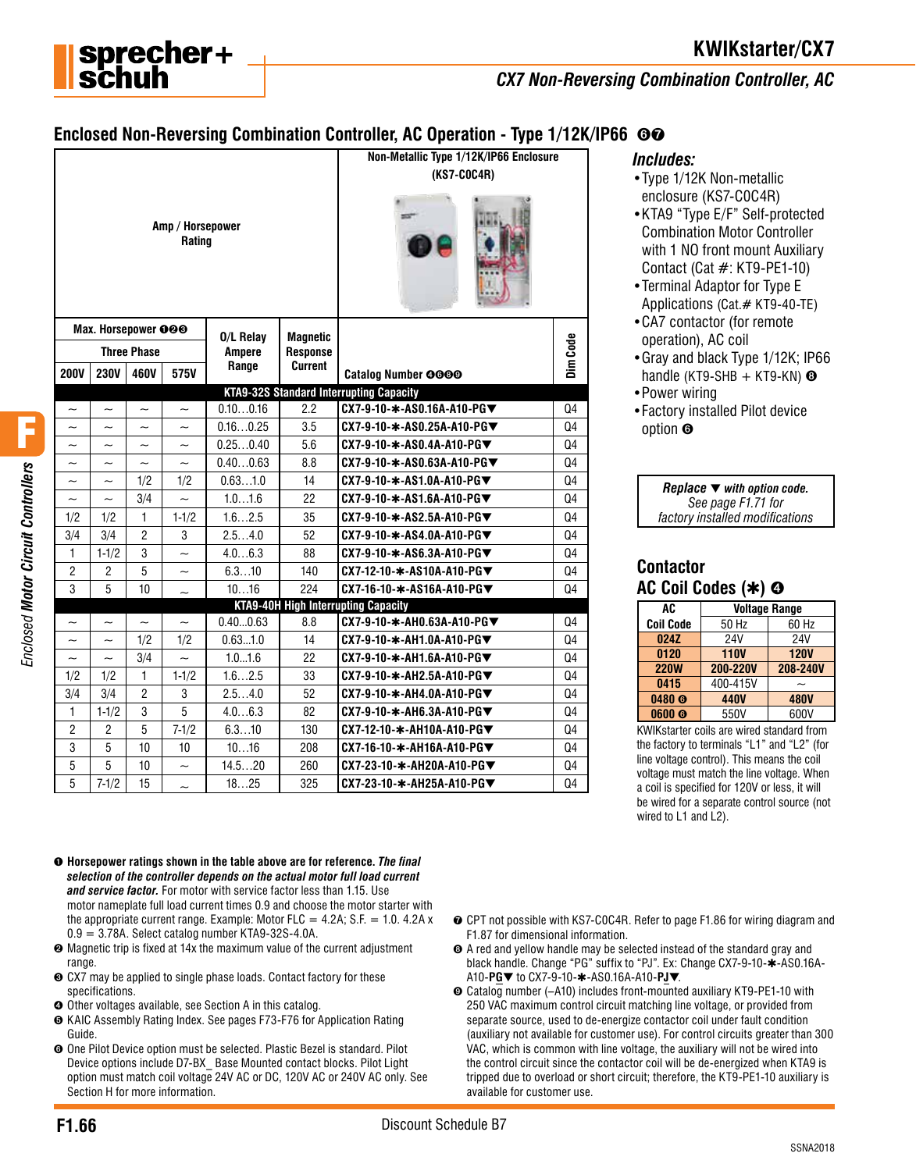

# **KWIKstarter/CX7**

*CX7 Non-Reversing Combination Controller, AC*

## **Enclosed Non-Reversing Combination Controller, AC Operation - Type 1/12K/IP66** ➏➐

|                           |                           |                           |                            |               |                 | Non-Metallic Type 1/12K/IP66 Enclosure         |                |
|---------------------------|---------------------------|---------------------------|----------------------------|---------------|-----------------|------------------------------------------------|----------------|
|                           |                           |                           |                            |               | (KS7-C0C4R)     |                                                |                |
|                           |                           |                           | Amp / Horsepower<br>Rating |               |                 |                                                |                |
|                           | Max. Horsepower 000       |                           |                            | 0/L Relay     | <b>Magnetic</b> |                                                |                |
|                           |                           | <b>Three Phase</b>        |                            | <b>Ampere</b> | <b>Response</b> |                                                |                |
| <b>200V</b>               | <b>230V</b>               | 460V                      | 575V                       | Range         | Current         | <b>Catalog Number 0000</b>                     | Dim Code       |
|                           |                           |                           |                            |               |                 | <b>KTA9-32S Standard Interrupting Capacity</b> |                |
| $\tilde{\phantom{a}}$     | $\sim$                    | $\tilde{\phantom{a}}$     | $\tilde{\phantom{a}}$      | 0.100.16      | 2.2             | CX7-9-10-*-AS0.16A-A10-PG▼                     | Q4             |
| $\tilde{}$                | $\tilde{\phantom{a}}$     | $\tilde{\phantom{a}}$     | $\widetilde{\phantom{m}}$  | 0.160.25      | 3.5             | CX7-9-10-*-AS0.25A-A10-PG▼                     | Q4             |
| $\widetilde{\phantom{m}}$ | $\widetilde{\phantom{m}}$ | $\widetilde{\phantom{m}}$ | $\widetilde{\phantom{m}}$  | 0.250.40      | 5.6             | CX7-9-10-*-AS0.4A-A10-PG▼                      | Q4             |
| $\widetilde{\phantom{m}}$ | $\widetilde{\phantom{m}}$ | $\tilde{}$                | $\tilde{\phantom{a}}$      | 0.400.63      | 8.8             | CX7-9-10-*-AS0.63A-A10-PG▼                     | Q4             |
| $\widetilde{\phantom{m}}$ | $\widetilde{\phantom{m}}$ | 1/2                       | 1/2                        | 0.631.0       | 14              | CX7-9-10-*-AS1.0A-A10-PG▼                      | Q <sub>4</sub> |
| $\tilde{\phantom{a}}$     | $\sim$                    | 3/4                       | $\sim$                     | 1.01.6        | 22              | CX7-9-10-*-AS1.6A-A10-PG▼                      | Q <sub>4</sub> |
| 1/2                       | 1/2                       | $\mathbf{1}$              | $1 - 1/2$                  | 1.62.5        | 35              | CX7-9-10-∗-AS2.5A-A10-PG▼                      | Q4             |
| 3/4                       | 3/4                       | $\overline{c}$            | 3                          | 2.54.0        | 52              | CX7-9-10-*-AS4.0A-A10-PG▼                      | Q4             |
| $\mathbf{1}$              | $1 - 1/2$                 | 3                         | $\sim$                     | 4.06.3        | 88              | CX7-9-10-*-AS6.3A-A10-PG▼                      | Q4             |
| $\overline{2}$            | $\overline{2}$            | 5                         | $\tilde{}$                 | 6.310         | 140             | CX7-12-10-*-AS10A-A10-PG▼                      | Q4             |
| 3                         | 5                         | 10                        |                            | 1016          | 224             | CX7-16-10-*-AS16A-A10-PG▼                      | Q4             |
|                           |                           |                           |                            |               |                 | <b>KTA9-40H High Interrupting Capacity</b>     |                |
| $\overline{\phantom{0}}$  | $\tilde{}$                | $\tilde{\phantom{a}}$     | $\widetilde{\phantom{m}}$  | 0.400.63      | 8.8             | CX7-9-10-*-AH0.63A-A10-PG▼                     | Q4             |
| $\sim$                    | $\sim$                    | 1/2                       | 1/2                        | 0.631.0       | 14              | CX7-9-10-*-AH1.0A-A10-PG▼                      | Q4             |
| $\widetilde{\phantom{m}}$ | $\sim$                    | 3/4                       | $\sim$                     | 1.01.6        | 22              | CX7-9-10-*-AH1.6A-A10-PG▼                      | Q <sub>4</sub> |
| 1/2                       | 1/2                       | 1                         | $1-1/2$                    | 1.62.5        | 33              | CX7-9-10-*-AH2.5A-A10-PG▼                      | Q4             |
| 3/4                       | 3/4                       | 2                         | 3                          | 2.54.0        | 52              | CX7-9-10-*-AH4.0A-A10-PG▼                      | Q4             |
| 1                         | $1 - 1/2$                 | 3                         | 5                          | 4.06.3        | 82              | CX7-9-10-*-AH6.3A-A10-PG▼                      | Q4             |
| $\overline{2}$            | $\overline{2}$            | 5                         | $7 - 1/2$                  | 6.310         | 130             | CX7-12-10-*-AH10A-A10-PG▼                      | Q4             |
| 3                         | 5                         | 10                        | 10                         | 1016          | 208             | CX7-16-10-*-AH16A-A10-PG▼                      | Q4             |
| 5                         | 5                         | 10                        | $\widetilde{\phantom{m}}$  | 14.520        | 260             | CX7-23-10-*-AH20A-A10-PG▼                      | Q4             |
| 5                         | $7 - 1/2$                 | 15                        | $\tilde{\phantom{0}}$      | 1825          | 325             | CX7-23-10-*-AH25A-A10-PG▼                      | Q <sub>4</sub> |

#### *Includes:*

- •Type 1/12K Non-metallic enclosure (KS7-C0C4R)
- •KTA9 "Type E/F" Self-protected Combination Motor Controller with 1 NO front mount Auxiliary Contact (Cat #: KT9-PE1-10)
- •Terminal Adaptor for Type E Applications (Cat.# KT9-40-TE)
- •CA7 contactor (for remote operation), AC coil
- •Gray and black Type 1/12K; IP66 handle (KT9-SHB  $+$  KT9-KN)  $\odot$
- •Power wiring
- •Factory installed Pilot device option ➏

*Replace* ▼ *with option code. See page F1.71 for factory installed modifications*

## **Contactor AC Coil Codes (**✱**)** ➍

| AC                | <b>Voltage Range</b> |             |  |
|-------------------|----------------------|-------------|--|
| <b>Coil Code</b>  | 50 Hz                | 60 Hz       |  |
| 024Z              | 24V                  | 24V         |  |
| 0120              | <b>110V</b>          | <b>120V</b> |  |
| <b>220W</b>       | <b>200-220V</b>      | 208-240V    |  |
| 0415              | 400-415V             |             |  |
| 0480 <sub>®</sub> | <b>440V</b>          | <b>480V</b> |  |
| 0600 <sub>®</sub> | 550V                 | 600V        |  |

KWIKstarter coils are wired standard from the factory to terminals "L1" and "L2" (for line voltage control). This means the coil voltage must match the line voltage. When a coil is specified for 120V or less, it will be wired for a separate control source (not wired to L1 and L2).

- ➊ **Horsepower ratings shown in the table above are for reference.** *The final selection of the controller depends on the actual motor full load current and service factor.* For motor with service factor less than 1.15. Use motor nameplate full load current times 0.9 and choose the motor starter with the appropriate current range. Example: Motor FLC  $=$  4.2A; S.F.  $=$  1.0. 4.2A x  $0.9 = 3.78$ A. Select catalog number KTA9-32S-4.0A.
- ➋ Magnetic trip is fixed at 14x the maximum value of the current adjustment range.
- ➌ CX7 may be applied to single phase loads. Contact factory for these specifications.
- ➍ Other voltages available, see Section A in this catalog.
- ➎ KAIC Assembly Rating Index. See pages F73-F76 for Application Rating Guide.
- ➏ One Pilot Device option must be selected. Plastic Bezel is standard. Pilot Device options include D7-BX\_ Base Mounted contact blocks. Pilot Light option must match coil voltage 24V AC or DC, 120V AC or 240V AC only. See Section H for more information.
- **⊙** CPT not possible with KS7-C0C4R. Refer to page F1.86 for wiring diagram and F1.87 for dimensional information.
- ➑ A red and yellow handle may be selected instead of the standard gray and black handle. Change "PG" suffix to "PJ". Ex: Change CX7-9-10-✱-AS0.16A-A10-**PG**▼ to CX7-9-10-✱-AS0.16A-A10-**PJ**▼.
- ➒ Catalog number (–A10) includes front-mounted auxiliary KT9-PE1-10 with 250 VAC maximum control circuit matching line voltage, or provided from separate source, used to de-energize contactor coil under fault condition (auxiliary not available for customer use). For control circuits greater than 300 VAC, which is common with line voltage, the auxiliary will not be wired into the control circuit since the contactor coil will be de-energized when KTA9 is tripped due to overload or short circuit; therefore, the KT9-PE1-10 auxiliary is available for customer use.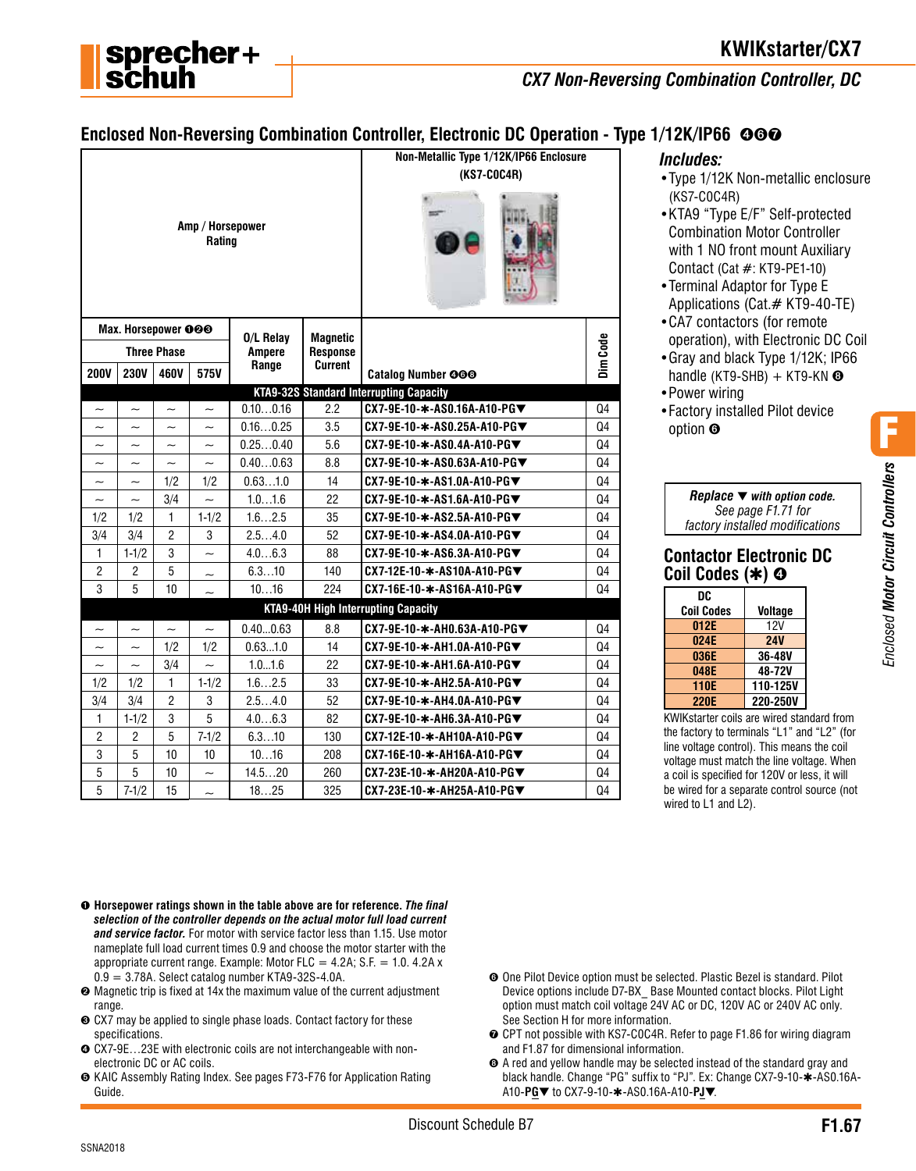

# **KWIKstarter/CX7**

*CX7 Non-Reversing Combination Controller, DC*

## **Enclosed Non-Reversing Combination Controller, Electronic DC Operation - Type 1/12K/IP66 ©©©**

|                           |                           |                           |                            |                            |                                    | Non-Metallic Type 1/12K/IP66 Enclosure         |                |
|---------------------------|---------------------------|---------------------------|----------------------------|----------------------------|------------------------------------|------------------------------------------------|----------------|
|                           |                           |                           |                            |                            | (KS7-C0C4R)                        |                                                |                |
|                           |                           |                           | Amp / Horsepower<br>Rating |                            |                                    |                                                |                |
|                           | Max. Horsepower 000       |                           |                            |                            |                                    |                                                |                |
|                           |                           | <b>Three Phase</b>        |                            | 0/L Relay<br><b>Ampere</b> | <b>Magnetic</b><br><b>Response</b> |                                                | Dim Code       |
| <b>200V</b>               | <b>230V</b>               | 460V                      | 575V                       | Range                      | <b>Current</b>                     | <b>Catalog Number 000</b>                      |                |
|                           |                           |                           |                            |                            |                                    | <b>KTA9-32S Standard Interrupting Capacity</b> |                |
| $\tilde{}$                | $\widetilde{\phantom{m}}$ | $\tilde{\phantom{a}}$     | $\tilde{\phantom{a}}$      | 0.100.16                   | 2.2                                | CX7-9E-10-*-AS0.16A-A10-PG▼                    | Q4             |
| $\widetilde{\phantom{m}}$ | $\tilde{}$                | $\widetilde{\phantom{m}}$ | $\tilde{\phantom{a}}$      | 0.160.25                   | 3.5                                | CX7-9E-10-*-AS0.25A-A10-PG▼                    | Q <sub>4</sub> |
| $\sim$                    | $\sim$                    | $\tilde{\phantom{a}}$     | $\sim$                     | 0.250.40                   | 5.6                                | CX7-9E-10-*-AS0.4A-A10-PG▼                     | Q4             |
| $\sim$                    | $\sim$                    | $\tilde{\phantom{a}}$     | $\sim$                     | 0.400.63                   | 8.8                                | CX7-9E-10-*-AS0.63A-A10-PG▼                    | Q4             |
| $\tilde{\phantom{a}}$     | $\tilde{\phantom{0}}$     | 1/2                       | 1/2                        | 0.631.0                    | 14                                 | CX7-9E-10-∗-AS1.0A-A10-PG▼                     | Q4             |
| $\widetilde{\phantom{m}}$ | $\sim$                    | 3/4                       | $\sim$                     | 1.01.6                     | 22                                 | CX7-9E-10-∗-AS1.6A-A10-PG▼                     | Q4             |
| 1/2                       | 1/2                       | 1                         | $1 - 1/2$                  | 1.62.5                     | 35                                 | CX7-9E-10-*-AS2.5A-A10-PG▼                     | Q4             |
| 3/4                       | 3/4                       | $\overline{2}$            | 3                          | 2.54.0                     | 52                                 | CX7-9E-10-*-AS4.0A-A10-PG▼                     | Q4             |
| $\mathbf{1}$              | $1 - 1/2$                 | 3                         | $\sim$                     | 4.06.3                     | 88                                 | CX7-9E-10-*-AS6.3A-A10-PG▼                     | Q <sub>4</sub> |
| $\overline{2}$            | $\overline{2}$            | 5                         | $\tilde{}$                 | 6.310                      | 140                                | CX7-12E-10-*-AS10A-A10-PG▼                     | Q4             |
| 3                         | 5                         | 10                        |                            | 1016                       | 224                                | CX7-16E-10-*-AS16A-A10-PG▼                     | Q4             |
|                           |                           |                           |                            |                            |                                    | <b>KTA9-40H High Interrupting Capacity</b>     |                |
| $\widetilde{\phantom{m}}$ | $\tilde{}$                | $\tilde{\phantom{0}}$     | $\tilde{}$                 | 0.400.63                   | 8.8                                | CX7-9E-10-*-AH0.63A-A10-PG▼                    | Q4             |
| $\tilde{\phantom{a}}$     | $\tilde{}$                | 1/2                       | 1/2                        | 0.631.0                    | 14                                 | CX7-9E-10-*-AH1.0A-A10-PG▼                     | Q4             |
| $\widetilde{\phantom{m}}$ | $\sim$                    | 3/4                       | $\sim$                     | 1.01.6                     | 22                                 | CX7-9E-10-*-AH1.6A-A10-PG▼                     | Q4             |
| 1/2                       | 1/2                       | $\mathbf{1}$              | $1 - 1/2$                  | 1.62.5                     | 33                                 | CX7-9E-10-*-AH2.5A-A10-PG▼                     | Q4             |
| 3/4                       | 3/4                       | $\overline{2}$            | 3                          | 2.54.0                     | 52                                 | CX7-9E-10-*-AH4.0A-A10-PG▼                     | Q4             |
| $\mathbf{1}$              | $1 - 1/2$                 | 3                         | 5                          | 4.06.3                     | 82                                 | CX7-9E-10-*-AH6.3A-A10-PG▼                     | Q4             |
| $\overline{2}$            | $\overline{2}$            | 5                         | $7 - 1/2$                  | 6.310                      | 130                                | CX7-12E-10-*-AH10A-A10-PG▼                     | Q4             |
| 3                         | 5                         | 10                        | 10                         | 1016                       | 208                                | CX7-16E-10-*-AH16A-A10-PG▼                     | Q4             |
| 5                         | 5                         | 10                        | $\tilde{\phantom{a}}$      | 14.520                     | 260                                | CX7-23E-10-*-AH20A-A10-PG▼                     | Q4             |
| 5                         | $7 - 1/2$                 | 15                        | $\sim$                     | 1825                       | 325                                | CX7-23E-10-∗-AH25A-A10-PG▼                     | Q4             |

#### *Includes:*

- •Type 1/12K Non-metallic enclosure (KS7-C0C4R)
- •KTA9 "Type E/F" Self-protected Combination Motor Controller with 1 NO front mount Auxiliary Contact (Cat #: KT9-PE1-10)
- •Terminal Adaptor for Type E Applications (Cat.# KT9-40-TE)
- •CA7 contactors (for remote operation), with Electronic DC Coil
- •Gray and black Type 1/12K; IP66 handle (KT9-SHB) + KT9-KN  $\odot$
- •Power wiring
- •Factory installed Pilot device option ➏

| Replace $\blacktriangledown$ with option code. |
|------------------------------------------------|
| See page F1.71 for                             |
| factory installed modifications                |

#### **Contactor Electronic DC Coil Codes (**✱**)** ➍

| DC                |            |
|-------------------|------------|
| <b>Coil Codes</b> | Voltage    |
| 012E              | 12V        |
| 024E              | <b>24V</b> |
| 036E              | 36-48V     |
| 048E              | 48-72V     |
| 110E              | 110-125V   |
| <b>220E</b>       | 220-250V   |
|                   |            |

KWIKstarter coils are wired standard from the factory to terminals "L1" and "L2" (for line voltage control). This means the coil voltage must match the line voltage. When a coil is specified for 120V or less, it will be wired for a separate control source (not wired to L1 and L2).

Enclosed Motor Circuit Controllers *Enclosed Motor Circuit Controllers*

F

- ➊ **Horsepower ratings shown in the table above are for reference.** *The final selection of the controller depends on the actual motor full load current and service factor.* For motor with service factor less than 1.15. Use motor nameplate full load current times 0.9 and choose the motor starter with the appropriate current range. Example: Motor FLC =  $4.2A$ ; S.F. = 1.0.  $4.2A$  x  $0.9 = 3.78$ A. Select catalog number KTA9-32S-4.0A.
- ➋ Magnetic trip is fixed at 14x the maximum value of the current adjustment range.
- ➌ CX7 may be applied to single phase loads. Contact factory for these specifications.
- ➍ CX7-9E…23E with electronic coils are not interchangeable with nonelectronic DC or AC coils.
- ➎ KAIC Assembly Rating Index. See pages F73-F76 for Application Rating Guide.
- ➏ One Pilot Device option must be selected. Plastic Bezel is standard. Pilot Device options include D7-BX\_ Base Mounted contact blocks. Pilot Light option must match coil voltage 24V AC or DC, 120V AC or 240V AC only. See Section H for more information.
- **⊙** CPT not possible with KS7-C0C4R. Refer to page F1.86 for wiring diagram and F1.87 for dimensional information.
- ➑ A red and yellow handle may be selected instead of the standard gray and black handle. Change "PG" suffix to "PJ". Ex: Change CX7-9-10-✱-AS0.16A-A10-**PG**▼ to CX7-9-10-✱-AS0.16A-A10-**PJ**▼.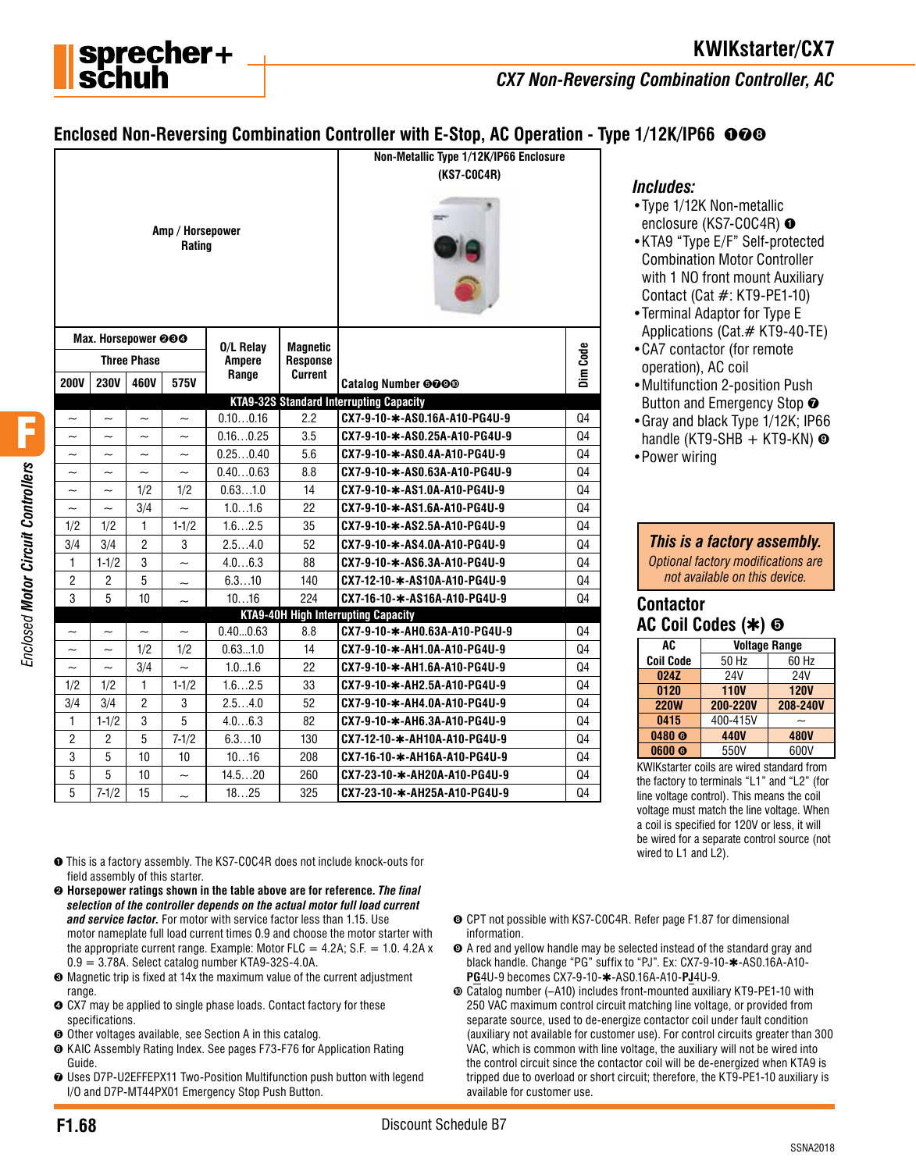

*CX7 Non-Reversing Combination Controller, AC*

# **Enclosed Non-Reversing Combination Controller with E-Stop, AC Operation - Type 1/12K/IP66**  $\odot$  $\odot$

|                                         |                                                |                                                |                                                       |                            |                                    | Non-Metallic Type 1/12K/IP66 Enclosure                                       |                |
|-----------------------------------------|------------------------------------------------|------------------------------------------------|-------------------------------------------------------|----------------------------|------------------------------------|------------------------------------------------------------------------------|----------------|
|                                         |                                                |                                                |                                                       |                            | (KS7-C0C4R)                        |                                                                              |                |
| Amp / Horsepower<br>Rating              |                                                |                                                |                                                       |                            |                                    |                                                                              |                |
|                                         | Max. Horsepower @@@                            |                                                |                                                       |                            |                                    |                                                                              |                |
|                                         |                                                | <b>Three Phase</b>                             |                                                       | O/L Relay<br><b>Ampere</b> | <b>Magnetic</b><br><b>Response</b> |                                                                              | Dim Code       |
| <b>200V</b>                             | <b>230V</b>                                    | 460V                                           | 575V                                                  | Range                      | Current                            |                                                                              |                |
|                                         |                                                |                                                |                                                       |                            |                                    | <b>Catalog Number @@@@</b><br><b>KTA9-32S Standard Interrupting Capacity</b> |                |
|                                         |                                                |                                                |                                                       | 0.100.16                   | 2.2                                | CX7-9-10-*-AS0.16A-A10-PG4U-9                                                | Q4             |
| $\tilde{}$<br>$\widetilde{\phantom{m}}$ | $\tilde{\phantom{0}}$<br>$\tilde{\phantom{a}}$ | $\tilde{\phantom{a}}$<br>$\tilde{\phantom{a}}$ | $\widetilde{\phantom{m}}$<br>$\overline{\phantom{0}}$ | 0.160.25                   | 3.5                                | CX7-9-10-*-AS0.25A-A10-PG4U-9                                                | Q4             |
|                                         |                                                |                                                |                                                       | 0.250.40                   | 5.6                                | CX7-9-10-*-AS0.4A-A10-PG4U-9                                                 | Q4             |
| $\widetilde{\phantom{m}}$               | $\tilde{\phantom{a}}$<br>$\tilde{\phantom{a}}$ | $\tilde{\phantom{a}}$<br>$\tilde{\phantom{a}}$ | $\tilde{}$<br>$\overline{\phantom{0}}$                | 0.400.63                   | 8.8                                | CX7-9-10-*-AS0.63A-A10-PG4U-9                                                | Q4             |
| $\tilde{\phantom{a}}$                   | $\tilde{\phantom{a}}$                          | 1/2                                            | 1/2                                                   | 0.631.0                    | 14                                 | CX7-9-10-*-AS1.0A-A10-PG4U-9                                                 | Q4             |
| $\tilde{\phantom{a}}$                   | $\tilde{\phantom{a}}$                          | 3/4                                            | $\sim$                                                | 1.01.6                     | 22                                 | CX7-9-10-*-AS1.6A-A10-PG4U-9                                                 | Q4             |
| 1/2                                     | 1/2                                            | 1                                              | $1 - 1/2$                                             | 1.62.5                     | 35                                 | CX7-9-10-*-AS2.5A-A10-PG4U-9                                                 | Q4             |
| 3/4                                     | 3/4                                            | 2                                              | 3                                                     | 2.54.0                     | 52                                 | CX7-9-10-*-AS4.0A-A10-PG4U-9                                                 | Q4             |
| 1                                       | $1 - 1/2$                                      | 3                                              | $\tilde{\phantom{a}}$                                 | 4.06.3                     | 88                                 | CX7-9-10-*-AS6.3A-A10-PG4U-9                                                 | Q4             |
| $\overline{2}$                          | $\overline{c}$                                 | 5                                              | $\overline{\phantom{0}}$                              | 6.310                      | 140                                | CX7-12-10-*-AS10A-A10-PG4U-9                                                 | Q4             |
| 3                                       | 5                                              | 10                                             |                                                       | 1016                       | 224                                | CX7-16-10-*-AS16A-A10-PG4U-9                                                 | Q <sub>4</sub> |
|                                         |                                                |                                                |                                                       |                            |                                    | <b>KTA9-40H High Interrupting Capacity</b>                                   |                |
| $\widetilde{\phantom{m}}$               | $\tilde{\phantom{a}}$                          | $\tilde{\phantom{a}}$                          | $\tilde{}$                                            | 0.400.63                   | 8.8                                | CX7-9-10-*-AH0.63A-A10-PG4U-9                                                | Q4             |
| $\tilde{}$                              | $\tilde{}$                                     | 1/2                                            | 1/2                                                   | 0.631.0                    | 14                                 | CX7-9-10-*-AH1.0A-A10-PG4U-9                                                 | Q4             |
| $\widetilde{\phantom{m}}$               | $\tilde{}$                                     | 3/4                                            | $\sim$                                                | 1.01.6                     | 22                                 | CX7-9-10-*-AH1.6A-A10-PG4U-9                                                 | Q4             |
| 1/2                                     | 1/2                                            | 1                                              | $1-1/2$                                               | 1.62.5                     | 33                                 | CX7-9-10-*-AH2.5A-A10-PG4U-9                                                 | Q4             |
| 3/4                                     | 3/4                                            | $\overline{c}$                                 | 3                                                     | 2.54.0                     | 52                                 | CX7-9-10-*-AH4.0A-A10-PG4U-9                                                 | Q4             |
| 1                                       | $1 - 1/2$                                      | 3                                              | 5                                                     | 4.06.3                     | 82                                 | CX7-9-10-*-AH6.3A-A10-PG4U-9                                                 | Q <sub>4</sub> |
| $\overline{2}$                          | $\overline{2}$                                 | 5                                              | $7 - 1/2$                                             | 6.310                      | 130                                | CX7-12-10-*-AH10A-A10-PG4U-9                                                 | Q4             |
| 3                                       | 5                                              | 10                                             | 10                                                    | 1016                       | 208                                | CX7-16-10-*-AH16A-A10-PG4U-9                                                 | Q <sub>4</sub> |
| 5                                       | 5                                              | 10                                             | $\tilde{\phantom{a}}$                                 | 14.520                     | 260                                | CX7-23-10-*-AH20A-A10-PG4U-9                                                 | Q4             |
| 5                                       | $7 - 1/2$                                      | 15                                             | $\sim$                                                | 1825                       | 325                                | CX7-23-10-*-AH25A-A10-PG4U-9                                                 | Q4             |

*Includes:*

- •Type 1/12K Non-metallic enclosure (KS7-C0C4R) <sup>o</sup>
- •KTA9 "Type E/F" Self-protected Combination Motor Controller with 1 NO front mount Auxiliary Contact (Cat #: KT9-PE1-10)
- •Terminal Adaptor for Type E Applications (Cat.# KT9-40-TE)
- •CA7 contactor (for remote operation), AC coil
- •Multifunction 2-position Push Button and Emergency Stop  $\odot$
- •Gray and black Type 1/12K; IP66 handle (KT9-SHB  $+$  KT9-KN)  $\odot$
- •Power wiring

#### *This is a factory assembly.*

*Optional factory modifications are not available on this device.*

### **Contactor AC Coil Codes (**✱**)** ➎

| AC                |             | <b>Voltage Range</b> |
|-------------------|-------------|----------------------|
| <b>Coil Code</b>  | 50 Hz       | 60 Hz                |
| 024Z              | <b>24V</b>  | 24V                  |
| 0120              | <b>110V</b> | <b>120V</b>          |
| <b>220W</b>       | 200-220V    | 208-240V             |
| 0415              | 400-415V    |                      |
| 0480 <sub>®</sub> | 440V        | <b>480V</b>          |
| 0600 <sub>®</sub> | 550V        | 600V                 |

KWIKstarter coils are wired standard from the factory to terminals "L1" and "L2" (for line voltage control). This means the coil voltage must match the line voltage. When a coil is specified for 120V or less, it will be wired for a separate control source (not wired to L1 and L2).

- ➊ This is a factory assembly. The KS7-C0C4R does not include knock-outs for field assembly of this starter.
- $\odot$  **Horsepower ratings shown in the table above are for reference.** *The final selection of the controller depends on the actual motor full load current and service factor.* For motor with service factor less than 1.15. Use motor nameplate full load current times 0.9 and choose the motor starter with the appropriate current range. Example: Motor FLC =  $4.2A$ ; S.F. = 1.0. 4.2A x  $0.9 = 3.78$ A. Select catalog number KTA9-32S-4.0A.
- ➌ Magnetic trip is fixed at 14x the maximum value of the current adjustment range.
- ➍ CX7 may be applied to single phase loads. Contact factory for these specifications.
- ➎ Other voltages available, see Section A in this catalog.
- ➏ KAIC Assembly Rating Index. See pages F73-F76 for Application Rating Guide.
- ➐ Uses D7P-U2EFFEPX11 Two-Position Multifunction push button with legend I/O and D7P-MT44PX01 Emergency Stop Push Button.
- ➑ CPT not possible with KS7-C0C4R. Refer page F1.87 for dimensional information.
- ➒ A red and yellow handle may be selected instead of the standard gray and black handle. Change "PG" suffix to "PJ". Ex: CX7-9-10-✱-AS0.16A-A10- **PG**4U-9 becomes CX7-9-10-✱-AS0.16A-A10-**PJ**4U-9.
- ➓ Catalog number (–A10) includes front-mounted auxiliary KT9-PE1-10 with 250 VAC maximum control circuit matching line voltage, or provided from separate source, used to de-energize contactor coil under fault condition (auxiliary not available for customer use). For control circuits greater than 300 VAC, which is common with line voltage, the auxiliary will not be wired into the control circuit since the contactor coil will be de-energized when KTA9 is tripped due to overload or short circuit; therefore, the KT9-PE1-10 auxiliary is available for customer use.

F  *Enclosed Motor Circuit Controllers*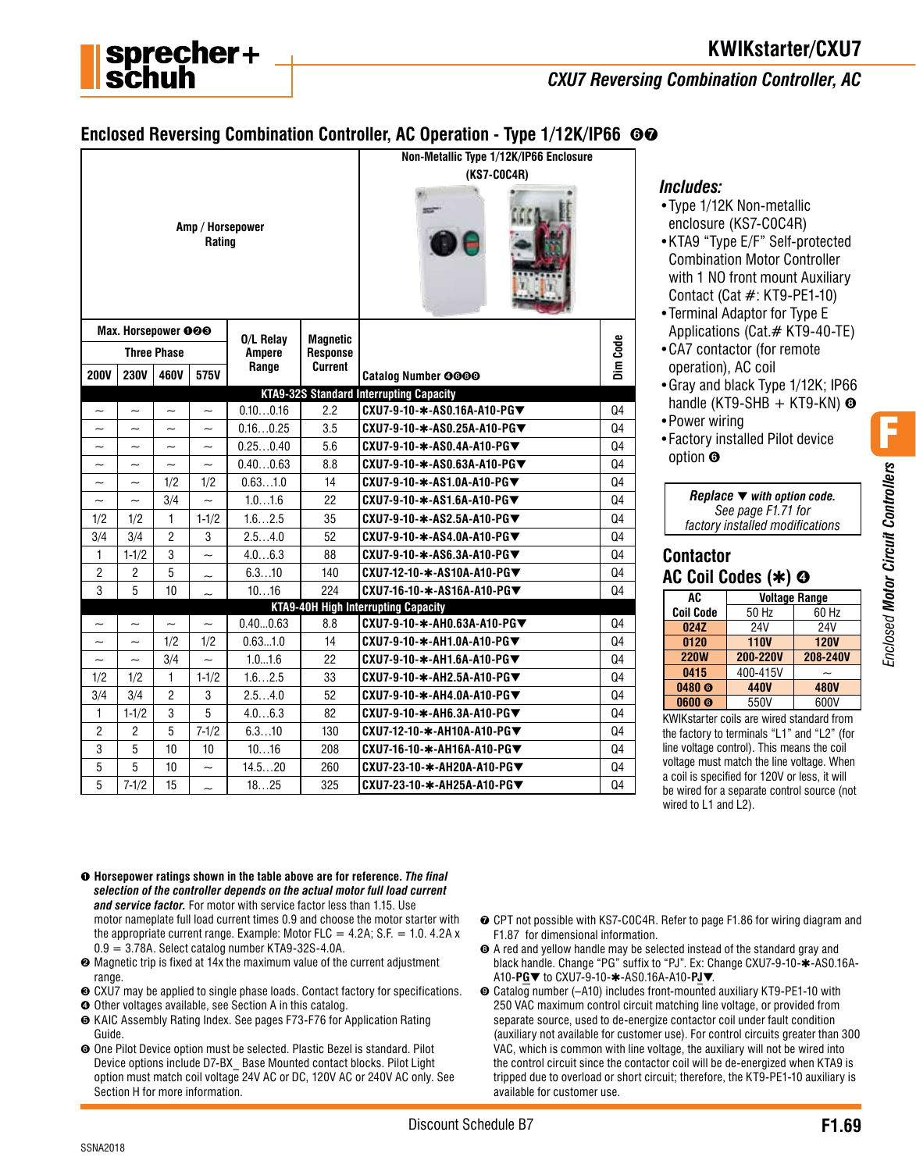

# **KWIKstarter/CXU7**

#### *CXU7 Reversing Combination Controller, AC*

## **Enclosed Reversing Combination Controller, AC Operation - Type 1/12K/IP66 ©©**

| Amp / Horsepower<br>Rating |                           |                       |                          |               |                 | Non-Metallic Type 1/12K/IP66 Enclosure<br>(KS7-C0C4R) |                |
|----------------------------|---------------------------|-----------------------|--------------------------|---------------|-----------------|-------------------------------------------------------|----------------|
|                            | Max. Horsepower 000       |                       |                          | 0/L Relav     | <b>Magnetic</b> |                                                       |                |
|                            |                           | <b>Three Phase</b>    |                          | <b>Ampere</b> | Response        |                                                       | Dim Code       |
| <b>200V</b>                | <b>230V</b>               | 460V                  | 575V                     | Range         | Current         | <b>Catalog Number 0000</b>                            |                |
|                            |                           |                       |                          |               |                 | <b>KTA9-32S Standard Interrupting Capacity</b>        |                |
| $\tilde{\phantom{a}}$      | $\tilde{\phantom{a}}$     | $\sim$                | $\sim$                   | 0.100.16      | 2.2             | CXU7-9-10-*-AS0.16A-A10-PG▼                           | Q4             |
|                            | $\tilde{}$                | $\tilde{}$            | $\tilde{\phantom{a}}$    | 0.160.25      | 3.5             | CXU7-9-10-*-AS0.25A-A10-PG▼                           | Q <sub>4</sub> |
| $\tilde{\phantom{a}}$      |                           |                       | $\tilde{\phantom{a}}$    | 0.250.40      | 5.6             | CXU7-9-10-*-AS0.4A-A10-PG▼                            | Q4             |
| $\tilde{\phantom{a}}$      | $\overline{\phantom{0}}$  | $\sim$                | $\sim$                   | 0.400.63      | 8.8             | CXU7-9-10-*-AS0.63A-A10-PG▼                           | Q4             |
| $\tilde{}$                 | $\tilde{}$                | 1/2                   | 1/2                      | 0.631.0       | 14              | CXU7-9-10-*-AS1.0A-A10-PG▼                            | Q4             |
| $\tilde{}$                 | $\sim$                    | 3/4                   | $\sim$                   | 1.01.6        | 22              | CXU7-9-10-*-AS1.6A-A10-PG▼                            | Q4             |
| 1/2                        | 1/2                       | 1                     | $1 - 1/2$                | 1.62.5        | 35              | CXU7-9-10-*-AS2.5A-A10-PG▼                            | Q4             |
| 3/4                        | 3/4                       | $\overline{2}$        | 3                        | 2.54.0        | 52              | CXU7-9-10-*-AS4.0A-A10-PG▼                            | Q4             |
| 1                          | $1 - 1/2$                 | 3                     | $\sim$                   | 4.06.3        | 88              | CXU7-9-10-∗-AS6.3A-A10-PG▼                            | Q4             |
| $\overline{2}$             | $\overline{2}$            | 5                     | $\tilde{\phantom{a}}$    | 6.310         | 140             | CXU7-12-10-*-AS10A-A10-PG▼                            | Q4             |
| 3                          | 5                         | 10                    |                          | 1016          | 224             | CXU7-16-10-*-AS16A-A10-PG▼                            | Q <sub>4</sub> |
|                            |                           |                       |                          |               |                 | <b>KTA9-40H High Interrupting Capacity</b>            |                |
| $\sim$                     | $\tilde{\phantom{a}}$     | $\tilde{\phantom{a}}$ | $\sim$                   | 0.400.63      | 8.8             | CXU7-9-10-*-AH0.63A-A10-PG▼                           | Q4             |
| $\tilde{}$                 | $\tilde{\phantom{a}}$     | 1/2                   | 1/2                      | 0.631.0       | 14              | CXU7-9-10-*-AH1.0A-A10-PG▼                            | Q4             |
| $\widetilde{\phantom{m}}$  | $\widetilde{\phantom{m}}$ | 3/4                   | $\sim$                   | 1.01.6        | 22              | CXU7-9-10-*-AH1.6A-A10-PG▼                            | Q4             |
| 1/2                        | 1/2                       | $\mathbf{1}$          | $1 - 1/2$                | 1.62.5        | 33              | CXU7-9-10-*-AH2.5A-A10-PG▼                            | Q4             |
| 3/4                        | 3/4                       | $\overline{2}$        | 3                        | 2.54.0        | 52              | CXU7-9-10-*-AH4.0A-A10-PG▼                            | Q4             |
| $\mathbf{1}$               | $1 - 1/2$                 | 3                     | 5                        | 4.06.3        | 82              | CXU7-9-10-*-AH6.3A-A10-PG▼                            | Q4             |
| $\overline{2}$             | $\overline{c}$            | 5                     | $7 - 1/2$                | 6.310         | 130             | CXU7-12-10-*-AH10A-A10-PG▼                            | Q4             |
| 3                          | 5                         | 10                    | 10                       | 1016          | 208             | CXU7-16-10-*-AH16A-A10-PG▼                            | Q4             |
| 5                          | 5                         | 10                    | $\overline{\phantom{0}}$ | 14.520        | 260             | CXU7-23-10-*-AH20A-A10-PG▼                            | Q4             |
| 5                          | $7 - 1/2$                 | 15                    | $\sim$                   | 1825          | 325             | CXU7-23-10-*-AH25A-A10-PG▼                            | Q4             |

#### *Includes:*

- •Type 1/12K Non-metallic enclosure (KS7-C0C4R)
- •KTA9 "Type E/F" Self-protected Combination Motor Controller with 1 NO front mount Auxiliary Contact (Cat #: KT9-PE1-10)
- •Terminal Adaptor for Type E Applications (Cat.# KT9-40-TE)
- •CA7 contactor (for remote operation), AC coil
- •Gray and black Type 1/12K; IP66 handle (KT9-SHB  $+$  KT9-KN)  $\odot$
- •Power wiring
- •Factory installed Pilot device option ➏

| Replace $\blacktriangledown$ with option code. |
|------------------------------------------------|
| See page F1.71 for                             |
| factory installed modifications                |

#### **Contactor AC Coil Codes (**✱**)** ➍

| AC                | <b>Voltage Range</b> |             |  |
|-------------------|----------------------|-------------|--|
| <b>Coil Code</b>  | 50 Hz                | 60 Hz       |  |
| 024Z              | <b>24V</b>           | 24V         |  |
| 0120              | <b>110V</b>          | <b>120V</b> |  |
| <b>220W</b>       | 200-220V             | 208-240V    |  |
| 0415              | 400-415V             |             |  |
| 0480 <sub>®</sub> | 440V                 | <b>480V</b> |  |
| 0600 <sub>®</sub> | 550V                 | 600V        |  |

KWIKstarter coils are wired standard from the factory to terminals "L1" and "L2" (for line voltage control). This means the coil voltage must match the line voltage. When a coil is specified for 120V or less, it will be wired for a separate control source (not wired to L1 and L2).

- ➊ **Horsepower ratings shown in the table above are for reference.** *The final selection of the controller depends on the actual motor full load current and service factor.* For motor with service factor less than 1.15. Use motor nameplate full load current times 0.9 and choose the motor starter with the appropriate current range. Example: Motor FLC =  $4.2A$ ; S.F. = 1.0. 4.2A x  $0.9 = 3.78$ A. Select catalog number KTA9-32S-4.0A.
- ➋ Magnetic trip is fixed at 14x the maximum value of the current adjustment range.
- ➌ CXU7 may be applied to single phase loads. Contact factory for specifications.
- ➍ Other voltages available, see Section A in this catalog.
- ➎ KAIC Assembly Rating Index. See pages F73-F76 for Application Rating Guide.
- ➏ One Pilot Device option must be selected. Plastic Bezel is standard. Pilot Device options include D7-BX\_ Base Mounted contact blocks. Pilot Light option must match coil voltage 24V AC or DC, 120V AC or 240V AC only. See Section H for more information.
- **⊙** CPT not possible with KS7-C0C4R. Refer to page F1.86 for wiring diagram and F1.87 for dimensional information.
- ➑ A red and yellow handle may be selected instead of the standard gray and black handle. Change "PG" suffix to "PJ". Ex: Change CXU7-9-10-✱-AS0.16A-A10-**PG**▼ to CXU7-9-10-✱-AS0.16A-A10-**PJ**▼.
- ➒ Catalog number (–A10) includes front-mounted auxiliary KT9-PE1-10 with 250 VAC maximum control circuit matching line voltage, or provided from separate source, used to de-energize contactor coil under fault condition (auxiliary not available for customer use). For control circuits greater than 300 VAC, which is common with line voltage, the auxiliary will not be wired into the control circuit since the contactor coil will be de-energized when KTA9 is tripped due to overload or short circuit; therefore, the KT9-PE1-10 auxiliary is available for customer use.

F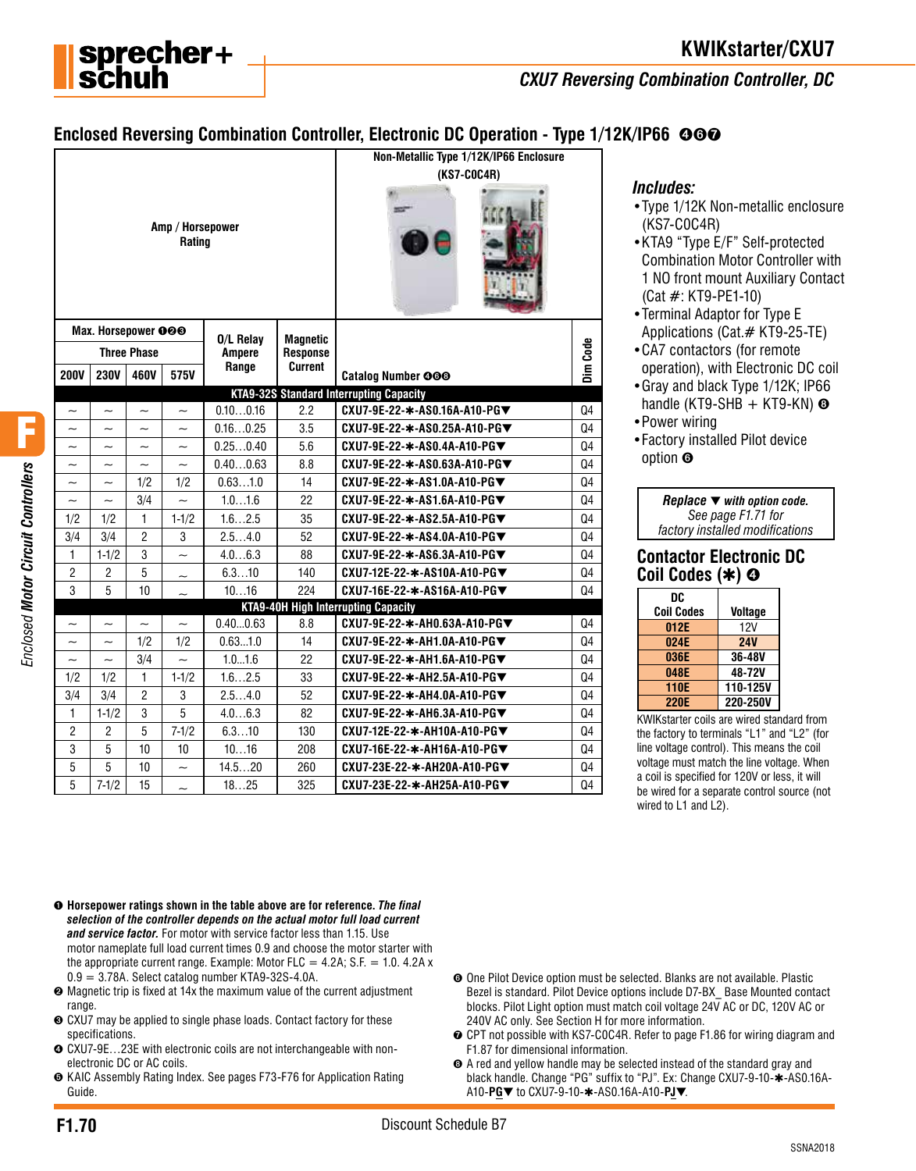

# **KWIKstarter/CXU7**

*CXU7 Reversing Combination Controller, DC*

# **Enclosed Reversing Combination Controller, Electronic DC Operation - Type 1/12K/IP66 ©©©**

| Amp / Horsepower<br>Rating                          |                           |                           |                          |               |                | Non-Metallic Type 1/12K/IP66 Enclosure<br>(KS7-C0C4R) |                |
|-----------------------------------------------------|---------------------------|---------------------------|--------------------------|---------------|----------------|-------------------------------------------------------|----------------|
| Max. Horsepower 000<br>0/L Relay<br><b>Magnetic</b> |                           |                           |                          |               |                |                                                       |                |
|                                                     |                           | <b>Three Phase</b>        |                          | <b>Ampere</b> | Response       |                                                       | Dim Code       |
| <b>200V</b>                                         | <b>230V</b>               | 460V                      | 575V                     | Range         | <b>Current</b> | <b>Catalog Number 000</b>                             |                |
|                                                     |                           |                           |                          |               |                | <b>KTA9-32S Standard Interrupting Capacity</b>        |                |
| $\tilde{\phantom{a}}$                               | $\widetilde{\phantom{m}}$ | $\tilde{}$                | $\tilde{\phantom{a}}$    | 0.100.16      | 2.2            | CXU7-9E-22-*-AS0.16A-A10-PG▼                          | Q4             |
| $\tilde{\phantom{a}}$                               | $\tilde{\phantom{0}}$     | $\tilde{\phantom{a}}$     | $\tilde{\phantom{0}}$    | 0.160.25      | 3.5            | CXU7-9E-22-∗-AS0.25A-A10-PG▼                          | Q4             |
| $\widetilde{\phantom{m}}$                           | $\widetilde{\phantom{m}}$ | $\tilde{\phantom{a}}$     | $\tilde{}$               | 0.250.40      | 5.6            | CXU7-9E-22-*-AS0.4A-A10-PG▼                           | Q4             |
| $\tilde{\phantom{a}}$                               | $\widetilde{\phantom{m}}$ | $\widetilde{\phantom{m}}$ | $\tilde{}$               | 0.400.63      | 8.8            | CXU7-9E-22-*-AS0.63A-A10-PG▼                          | Q4             |
| $\tilde{}$                                          | $\widetilde{\phantom{m}}$ | 1/2                       | 1/2                      | 0.631.0       | 14             | CXU7-9E-22-*-AS1.0A-A10-PG▼                           | Q4             |
| $\tilde{}$                                          | $\tilde{}$                | 3/4                       | $\sim$                   | 1.01.6        | 22             | CXU7-9E-22-*-AS1.6A-A10-PG▼                           | Q4             |
| 1/2                                                 | 1/2                       | $\mathbf{1}$              | $1 - 1/2$                | 1.62.5        | 35             | CXU7-9E-22-*-AS2.5A-A10-PG▼                           | Q4             |
| 3/4                                                 | 3/4                       | $\overline{2}$            | 3                        | 2.54.0        | 52             | CXU7-9E-22-*-AS4.0A-A10-PG▼                           | Q4             |
| 1                                                   | $1 - 1/2$                 | 3                         |                          | 4.06.3        | 88             | CXU7-9E-22-*-AS6.3A-A10-PG▼                           | Q4             |
| $\overline{2}$                                      | $\overline{2}$            | 5                         | $\tilde{}$               | 6.310         | 140            | CXU7-12E-22-*-AS10A-A10-PG▼                           | Q4             |
| 3                                                   | 5                         | 10                        |                          | 1016          | 224            | CXU7-16E-22-*-AS16A-A10-PG▼                           | Q <sub>4</sub> |
|                                                     |                           |                           |                          |               |                | <b>KTA9-40H High Interrupting Capacity</b>            |                |
| $\overline{\phantom{0}}$                            | $\tilde{\phantom{a}}$     | $\tilde{\phantom{a}}$     | $\tilde{\phantom{a}}$    | 0.400.63      | 8.8            | CXU7-9E-22-*-AH0.63A-A10-PG▼                          | Q4             |
| $\tilde{\phantom{a}}$                               | $\widetilde{\phantom{m}}$ | 1/2                       | 1/2                      | 0.631.0       | 14             | CXU7-9E-22-∗-AH1.0A-A10-PG▼                           | Q4             |
| $\tilde{}$                                          | $\tilde{\phantom{a}}$     | 3/4                       | $\overline{\phantom{0}}$ | 1.01.6        | 22             | CXU7-9E-22-*-AH1.6A-A10-PG▼                           | Q <sub>4</sub> |
| 1/2                                                 | 1/2                       | $\mathbf{1}$              | $1 - 1/2$                | 1.62.5        | 33             | CXU7-9E-22-*-AH2.5A-A10-PG▼                           | Q4             |
| 3/4                                                 | 3/4                       | $\overline{2}$            | 3                        | 2.54.0        | 52             | CXU7-9E-22-*-AH4.0A-A10-PG▼                           | Q4             |
| 1                                                   | $1 - 1/2$                 | 3                         | 5                        | 4.06.3        | 82             | CXU7-9E-22-∗-AH6.3A-A10-PG▼                           | Q4             |
| $\overline{2}$                                      | $\overline{2}$            | 5                         | $7 - 1/2$                | 6.310         | 130            | CXU7-12E-22-*-AH10A-A10-PG▼                           | Q4             |
| 3                                                   | 5                         | 10                        | 10                       | 1016          | 208            | CXU7-16E-22-*-AH16A-A10-PG▼                           | Q4             |
| 5                                                   | 5                         | 10                        | $\sim$                   | 14.520        | 260            | CXU7-23E-22-*-AH20A-A10-PG▼                           | Q4             |
| 5                                                   | $7 - 1/2$                 | 15                        | $\sim$                   | 1825          | 325            | CXU7-23E-22-∗-AH25A-A10-PG▼                           | Q4             |

#### *Includes:*

- •Type 1/12K Non-metallic enclosure (KS7-C0C4R)
- •KTA9 "Type E/F" Self-protected Combination Motor Controller with 1 NO front mount Auxiliary Contact (Cat #: KT9-PE1-10)
- •Terminal Adaptor for Type E Applications (Cat.# KT9-25-TE)
- •CA7 contactors (for remote operation), with Electronic DC coil
- •Gray and black Type 1/12K; IP66 handle (KT9-SHB  $+$  KT9-KN)  $\odot$
- •Power wiring
- •Factory installed Pilot device option ➏

| Replace $\blacktriangledown$ with option code. |
|------------------------------------------------|
| See page F1.71 for                             |
| factory installed modifications                |

#### **Contactor Electronic DC Coil Codes (**✱**)** ➍

| DC                |                |
|-------------------|----------------|
| <b>Coil Codes</b> | <b>Voltage</b> |
| 012E              | 12V            |
| 024E              | <b>24V</b>     |
| 036E              | 36-48V         |
| 048E              | 48-72V         |
| <b>110E</b>       | 110-125V       |
| <b>220E</b>       | 220-250V       |
|                   |                |

KWIKstarter coils are wired standard from the factory to terminals "L1" and "L2" (for line voltage control). This means the coil voltage must match the line voltage. When a coil is specified for 120V or less, it will be wired for a separate control source (not wired to L1 and L2).

- ➊ **Horsepower ratings shown in the table above are for reference.** *The final selection of the controller depends on the actual motor full load current and service factor.* For motor with service factor less than 1.15. Use motor nameplate full load current times 0.9 and choose the motor starter with the appropriate current range. Example: Motor FLC =  $4.2A$ ; S.F. = 1.0. 4.2A x  $0.9 = 3.78$ A. Select catalog number KTA9-32S-4.0A.
- ➋ Magnetic trip is fixed at 14x the maximum value of the current adjustment range.
- ➌ CXU7 may be applied to single phase loads. Contact factory for these specifications.
- ➍ CXU7-9E…23E with electronic coils are not interchangeable with nonelectronic DC or AC coils.
- ➎ KAIC Assembly Rating Index. See pages F73-F76 for Application Rating Guide.
- ➏ One Pilot Device option must be selected. Blanks are not available. Plastic Bezel is standard. Pilot Device options include D7-BX\_ Base Mounted contact blocks. Pilot Light option must match coil voltage 24V AC or DC, 120V AC or 240V AC only. See Section H for more information.
- ➐ CPT not possible with KS7-C0C4R. Refer to page F1.86 for wiring diagram and F1.87 for dimensional information.
- ➑ A red and yellow handle may be selected instead of the standard gray and black handle. Change "PG" suffix to "PJ". Ex: Change CXU7-9-10- $\ast$ -AS0.16A-A10-**PG**▼ to CXU7-9-10-✱-AS0.16A-A10-**PJ**▼.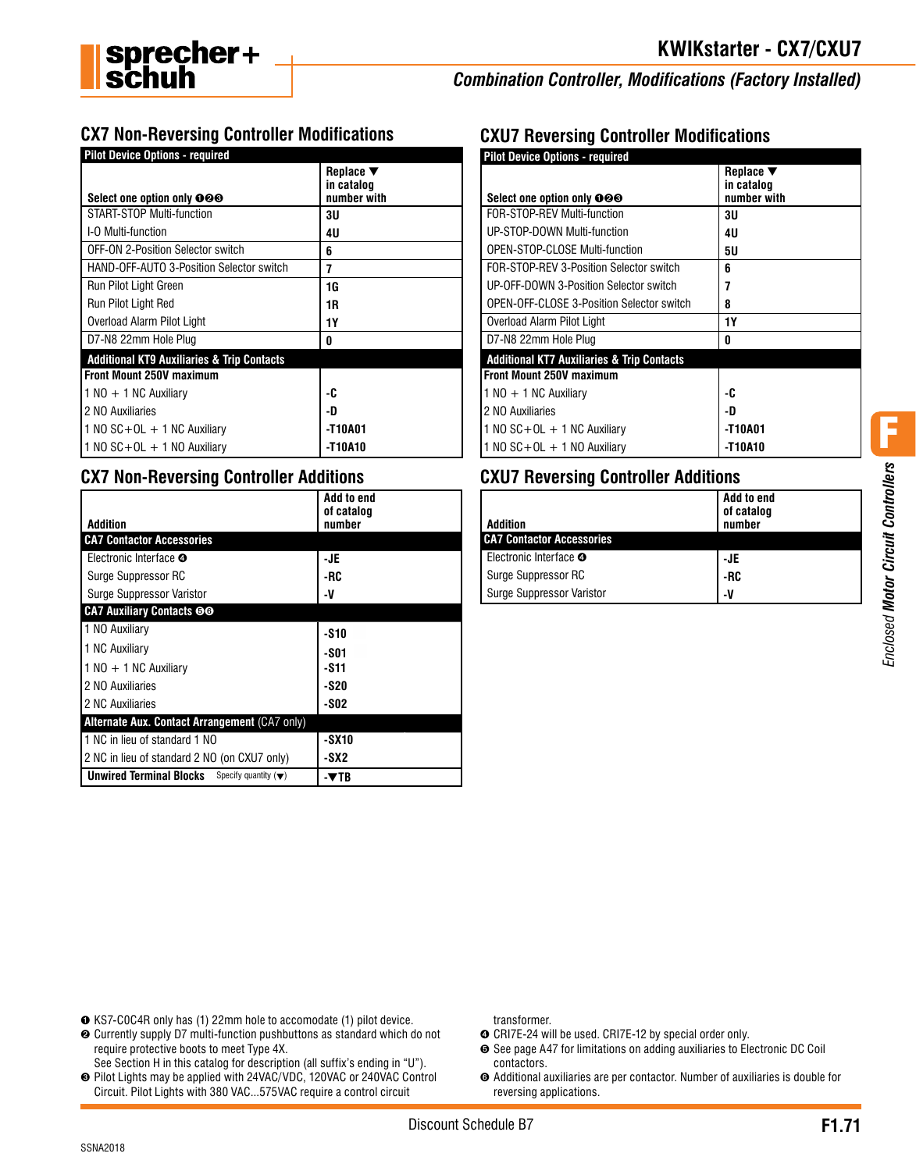

# *Combination Controller, Modifications (Factory Installed)*

# **CX7 Non-Reversing Controller Modifications**

| <b>Pilot Device Options - required</b>                |                              |  |  |  |  |
|-------------------------------------------------------|------------------------------|--|--|--|--|
|                                                       | Replace $\blacktriangledown$ |  |  |  |  |
| Select one option only 000                            | in catalog<br>number with    |  |  |  |  |
| START-STOP Multi-function                             | 3U                           |  |  |  |  |
| I-O Multi-function                                    | 4U                           |  |  |  |  |
| OFF-ON 2-Position Selector switch                     | 6                            |  |  |  |  |
| HAND-OFF-AUTO 3-Position Selector switch              | 7                            |  |  |  |  |
| Run Pilot Light Green                                 | 1G                           |  |  |  |  |
| Run Pilot Light Red                                   | 1R                           |  |  |  |  |
| Overload Alarm Pilot Light                            | 1Y                           |  |  |  |  |
| D7-N8 22mm Hole Plug                                  | 0                            |  |  |  |  |
| <b>Additional KT9 Auxiliaries &amp; Trip Contacts</b> |                              |  |  |  |  |
| <b>Front Mount 250V maximum</b>                       |                              |  |  |  |  |
| $1 NQ + 1 NC$ Auxiliary                               | -C                           |  |  |  |  |
| 2 NO Auxiliaries                                      | -D                           |  |  |  |  |
| 1 NO $SC+OL + 1$ NC Auxiliary                         | -T10A01                      |  |  |  |  |
| $1$ NO SC + OL + 1 NO Auxiliary                       | -T10A10                      |  |  |  |  |

### **CX7 Non-Reversing Controller Additions**

|                                                                           | Add to end           |
|---------------------------------------------------------------------------|----------------------|
| Addition                                                                  | of catalog<br>number |
| <b>CA7 Contactor Accessories</b>                                          |                      |
| Electronic Interface <b>O</b>                                             | -JE                  |
| Surge Suppressor RC                                                       | -RC                  |
| Surge Suppressor Varistor                                                 | -V                   |
| <b>CA7 Auxiliary Contacts ©G</b>                                          |                      |
| 1 NO Auxiliary                                                            | -S10                 |
| 1 NC Auxiliary                                                            | -S01                 |
| $1 N0 + 1 N$ C Auxiliary                                                  | -S11                 |
| 2 NO Auxiliaries                                                          | -S20                 |
| 2 NC Auxiliaries                                                          | -S02                 |
| Alternate Aux. Contact Arrangement (CA7 only)                             |                      |
| 1 NC in lieu of standard 1 NO                                             | -SX10                |
| 2 NC in lieu of standard 2 NO (on CXU7 only)                              | -SX2                 |
| <b>Unwired Terminal Blocks</b><br>Specify quantity $(\blacktriangledown)$ | -VTB                 |

## **CXU7 Reversing Controller Modifications**

| <b>Pilot Device Options - required</b>                |                                                           |
|-------------------------------------------------------|-----------------------------------------------------------|
| Select one option only 000                            | Replace $\blacktriangledown$<br>in catalog<br>number with |
| FOR-STOP-REV Multi-function                           | 3U                                                        |
| UP-STOP-DOWN Multi-function                           | 4U                                                        |
| <b>OPEN-STOP-CLOSE Multi-function</b>                 | 5υ                                                        |
| FOR-STOP-RFV 3-Position Selector switch               | ĥ                                                         |
| UP-OFF-DOWN 3-Position Selector switch                | 7                                                         |
| <b>OPEN-OFF-CLOSE 3-Position Selector switch</b>      | 8                                                         |
| Overload Alarm Pilot Light                            | 1Y                                                        |
| D7-N8 22mm Hole Plug                                  | n                                                         |
| <b>Additional KT7 Auxiliaries &amp; Trip Contacts</b> |                                                           |
| Front Mount 250V maximum                              |                                                           |
| $1$ NO $+$ 1 NC Auxiliary                             | -C                                                        |
| 2 NO Auxiliaries                                      | -D                                                        |
| 1 NO $SC+OL + 1$ NC Auxiliary                         | -T10A01                                                   |
| 1 NO $SC + OL + 1$ NO Auxiliary                       | -T10A10                                                   |

## **CXU7 Reversing Controller Additions**

| <b>Addition</b>                  | <b>Add to end</b><br>of catalog<br>number |
|----------------------------------|-------------------------------------------|
| <b>CA7 Contactor Accessories</b> |                                           |
| Electronic Interface <b>O</b>    | -JE                                       |
| Surge Suppressor RC              | -RC                                       |
| <b>Surge Suppressor Varistor</b> | -V                                        |

F

- ➊ KS7-C0C4R only has (1) 22mm hole to accomodate (1) pilot device.
- ➋ Currently supply D7 multi-function pushbuttons as standard which do not require protective boots to meet Type 4X.
- See Section H in this catalog for description (all suffix's ending in "U"). ➌ Pilot Lights may be applied with 24VAC/VDC, 120VAC or 240VAC Control
- Circuit. Pilot Lights with 380 VAC...575VAC require a control circuit

transformer.

- ➍ CRI7E-24 will be used. CRI7E-12 by special order only.
- ➎ See page A47 for limitations on adding auxiliaries to Electronic DC Coil contactors.
- ➏ Additional auxiliaries are per contactor. Number of auxiliaries is double for reversing applications.